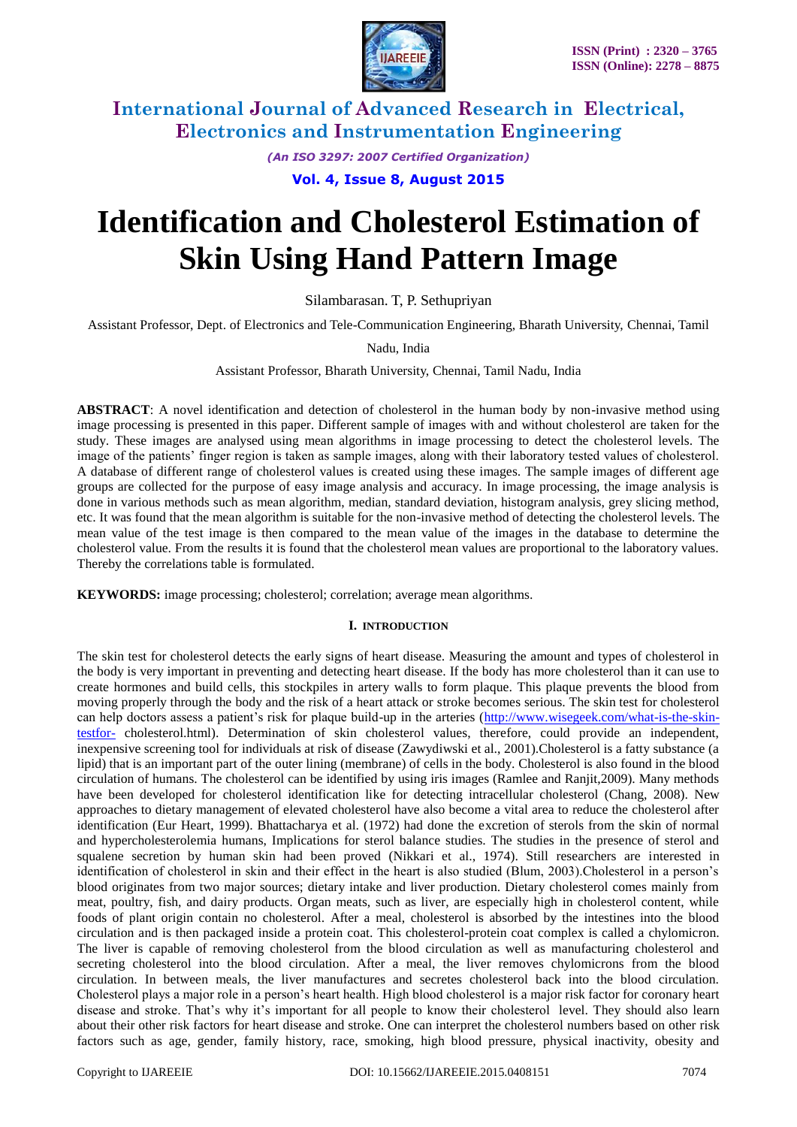

*(An ISO 3297: 2007 Certified Organization)*

**Vol. 4, Issue 8, August 2015**

# **Identification and Cholesterol Estimation of Skin Using Hand Pattern Image**

Silambarasan. T, P. Sethupriyan

Assistant Professor, Dept. of Electronics and Tele-Communication Engineering, Bharath University, Chennai, Tamil

Nadu, India

Assistant Professor, Bharath University, Chennai, Tamil Nadu, India

**ABSTRACT**: A novel identification and detection of cholesterol in the human body by non-invasive method using image processing is presented in this paper. Different sample of images with and without cholesterol are taken for the study. These images are analysed using mean algorithms in image processing to detect the cholesterol levels. The image of the patients' finger region is taken as sample images, along with their laboratory tested values of cholesterol. A database of different range of cholesterol values is created using these images. The sample images of different age groups are collected for the purpose of easy image analysis and accuracy. In image processing, the image analysis is done in various methods such as mean algorithm, median, standard deviation, histogram analysis, grey slicing method, etc. It was found that the mean algorithm is suitable for the non-invasive method of detecting the cholesterol levels. The mean value of the test image is then compared to the mean value of the images in the database to determine the cholesterol value. From the results it is found that the cholesterol mean values are proportional to the laboratory values. Thereby the correlations table is formulated.

**KEYWORDS:** image processing; cholesterol; correlation; average mean algorithms.

#### **I. INTRODUCTION**

The skin test for cholesterol detects the early signs of heart disease. Measuring the amount and types of cholesterol in the body is very important in preventing and detecting heart disease. If the body has more cholesterol than it can use to create hormones and build cells, this stockpiles in artery walls to form plaque. This plaque prevents the blood from moving properly through the body and the risk of a heart attack or stroke becomes serious. The skin test for cholesterol can help doctors assess a patient's risk for plaque build-up in the arteries [\(http://www.wisegeek.com/what-is-the-skin](http://www.wisegeek.com/what-is-the-skin-testfor-)[testfor-](http://www.wisegeek.com/what-is-the-skin-testfor-) cholesterol.html). Determination of skin cholesterol values, therefore, could provide an independent, inexpensive screening tool for individuals at risk of disease (Zawydiwski et al., 2001).Cholesterol is a fatty substance (a lipid) that is an important part of the outer lining (membrane) of cells in the body. Cholesterol is also found in the blood circulation of humans. The cholesterol can be identified by using iris images (Ramlee and Ranjit,2009). Many methods have been developed for cholesterol identification like for detecting intracellular cholesterol (Chang, 2008). New approaches to dietary management of elevated cholesterol have also become a vital area to reduce the cholesterol after identification (Eur Heart, 1999). Bhattacharya et al. (1972) had done the excretion of sterols from the skin of normal and hypercholesterolemia humans, Implications for sterol balance studies. The studies in the presence of sterol and squalene secretion by human skin had been proved (Nikkari et al., 1974). Still researchers are interested in identification of cholesterol in skin and their effect in the heart is also studied (Blum, 2003).Cholesterol in a person's blood originates from two major sources; dietary intake and liver production. Dietary cholesterol comes mainly from meat, poultry, fish, and dairy products. Organ meats, such as liver, are especially high in cholesterol content, while foods of plant origin contain no cholesterol. After a meal, cholesterol is absorbed by the intestines into the blood circulation and is then packaged inside a protein coat. This cholesterol-protein coat complex is called a chylomicron. The liver is capable of removing cholesterol from the blood circulation as well as manufacturing cholesterol and secreting cholesterol into the blood circulation. After a meal, the liver removes chylomicrons from the blood circulation. In between meals, the liver manufactures and secretes cholesterol back into the blood circulation. Cholesterol plays a major role in a person's heart health. High blood cholesterol is a major risk factor for coronary heart disease and stroke. That's why it's important for all people to know their cholesterol level. They should also learn about their other risk factors for heart disease and stroke. One can interpret the cholesterol numbers based on other risk factors such as age, gender, family history, race, smoking, high blood pressure, physical inactivity, obesity and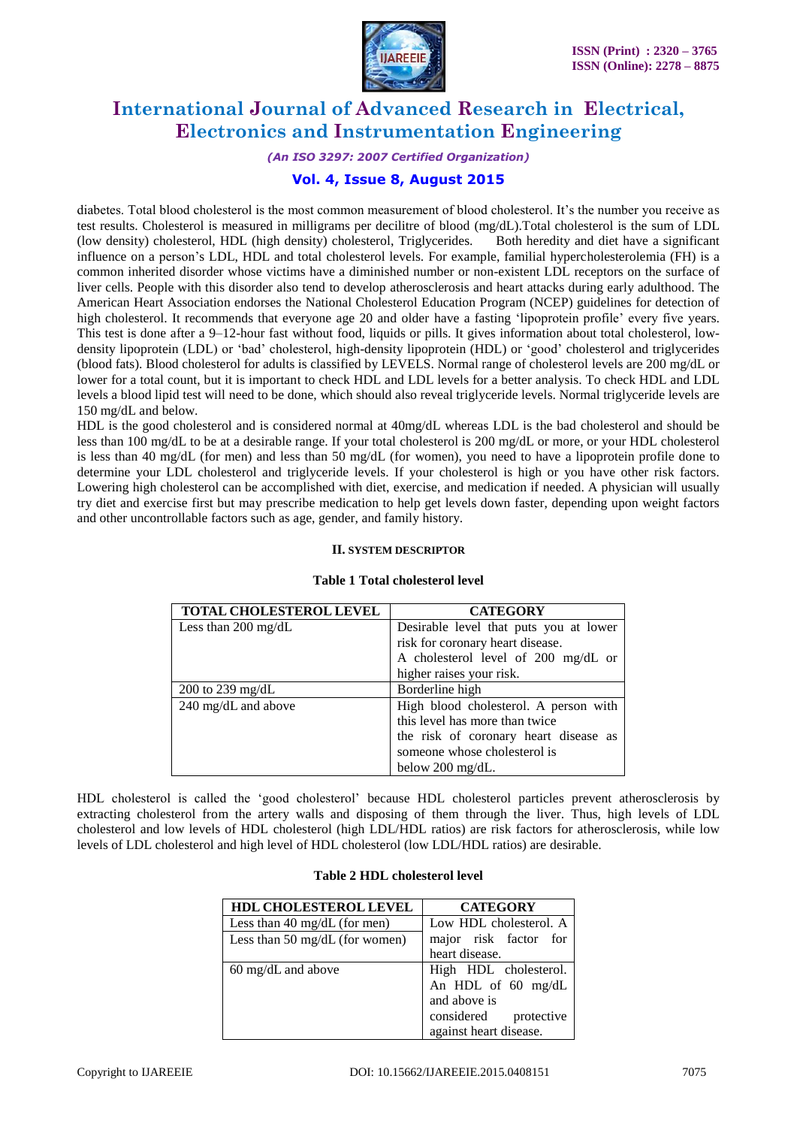

## *(An ISO 3297: 2007 Certified Organization)*

## **Vol. 4, Issue 8, August 2015**

diabetes. Total blood cholesterol is the most common measurement of blood cholesterol. It's the number you receive as test results. Cholesterol is measured in milligrams per decilitre of blood (mg/dL).Total cholesterol is the sum of LDL (low density) cholesterol, HDL (high density) cholesterol, Triglycerides. Both heredity and diet have a significant influence on a person's LDL, HDL and total cholesterol levels. For example, familial hypercholesterolemia (FH) is a common inherited disorder whose victims have a diminished number or non-existent LDL receptors on the surface of liver cells. People with this disorder also tend to develop atherosclerosis and heart attacks during early adulthood. The American Heart Association endorses the National Cholesterol Education Program (NCEP) guidelines for detection of high cholesterol. It recommends that everyone age 20 and older have a fasting 'lipoprotein profile' every five years. This test is done after a 9–12-hour fast without food, liquids or pills. It gives information about total cholesterol, lowdensity lipoprotein (LDL) or 'bad' cholesterol, high-density lipoprotein (HDL) or 'good' cholesterol and triglycerides (blood fats). Blood cholesterol for adults is classified by LEVELS. Normal range of cholesterol levels are 200 mg/dL or lower for a total count, but it is important to check HDL and LDL levels for a better analysis. To check HDL and LDL levels a blood lipid test will need to be done, which should also reveal triglyceride levels. Normal triglyceride levels are 150 mg/dL and below.

HDL is the good cholesterol and is considered normal at 40mg/dL whereas LDL is the bad cholesterol and should be less than 100 mg/dL to be at a desirable range. If your total cholesterol is 200 mg/dL or more, or your HDL cholesterol is less than 40 mg/dL (for men) and less than 50 mg/dL (for women), you need to have a lipoprotein profile done to determine your LDL cholesterol and triglyceride levels. If your cholesterol is high or you have other risk factors. Lowering high cholesterol can be accomplished with diet, exercise, and medication if needed. A physician will usually try diet and exercise first but may prescribe medication to help get levels down faster, depending upon weight factors and other uncontrollable factors such as age, gender, and family history.

## **II. SYSTEM DESCRIPTOR**

| TOTAL CHOLESTEROL LEVEL       | <b>CATEGORY</b>                        |  |
|-------------------------------|----------------------------------------|--|
| Less than $200 \text{ mg/dL}$ | Desirable level that puts you at lower |  |
|                               | risk for coronary heart disease.       |  |
|                               | A cholesterol level of 200 mg/dL or    |  |
|                               | higher raises your risk.               |  |
| 200 to 239 mg/dL              | Borderline high                        |  |
| 240 mg/dL and above           | High blood cholesterol. A person with  |  |
|                               | this level has more than twice         |  |
|                               | the risk of coronary heart disease as  |  |
|                               | someone whose cholesterol is           |  |
|                               | below $200 \text{ mg/dL}$ .            |  |

#### **Table 1 Total cholesterol level**

HDL cholesterol is called the 'good cholesterol' because HDL cholesterol particles prevent atherosclerosis by extracting cholesterol from the artery walls and disposing of them through the liver. Thus, high levels of LDL cholesterol and low levels of HDL cholesterol (high LDL/HDL ratios) are risk factors for atherosclerosis, while low levels of LDL cholesterol and high level of HDL cholesterol (low LDL/HDL ratios) are desirable.

## **Table 2 HDL cholesterol level**

| HDL CHOLESTEROL LEVEL          | <b>CATEGORY</b>              |  |
|--------------------------------|------------------------------|--|
| Less than 40 mg/dL (for men)   | Low HDL cholesterol. A       |  |
| Less than 50 mg/dL (for women) | major risk factor for        |  |
|                                | heart disease.               |  |
| $60 \text{ mg/dL}$ and above   | High HDL cholesterol.        |  |
|                                | An HDL of $60 \text{ mg/dL}$ |  |
|                                | and above is                 |  |
|                                | considered protective        |  |
|                                | against heart disease.       |  |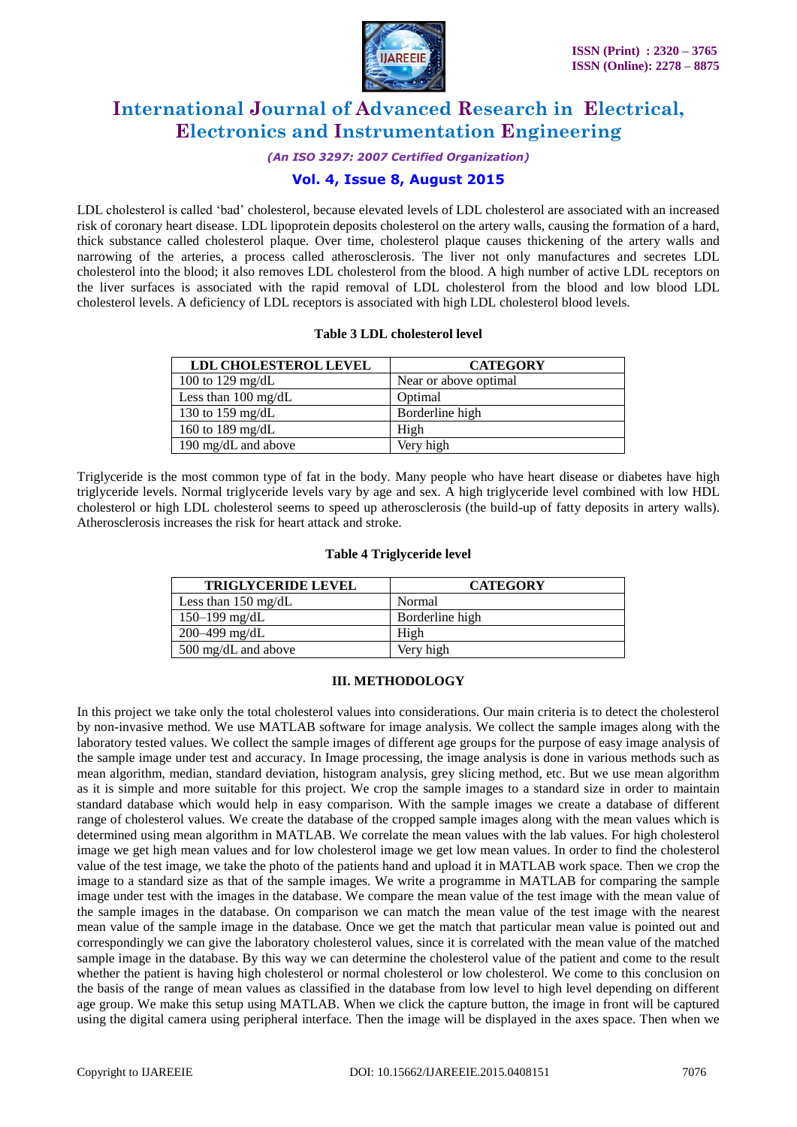

#### *(An ISO 3297: 2007 Certified Organization)*

## **Vol. 4, Issue 8, August 2015**

LDL cholesterol is called 'bad' cholesterol, because elevated levels of LDL cholesterol are associated with an increased risk of coronary heart disease. LDL lipoprotein deposits cholesterol on the artery walls, causing the formation of a hard, thick substance called cholesterol plaque. Over time, cholesterol plaque causes thickening of the artery walls and narrowing of the arteries, a process called atherosclerosis. The liver not only manufactures and secretes LDL cholesterol into the blood; it also removes LDL cholesterol from the blood. A high number of active LDL receptors on the liver surfaces is associated with the rapid removal of LDL cholesterol from the blood and low blood LDL cholesterol levels. A deficiency of LDL receptors is associated with high LDL cholesterol blood levels.

#### **Table 3 LDL cholesterol level**

| <b>LDL CHOLESTEROL LEVEL</b>  | <b>CATEGORY</b>       |  |
|-------------------------------|-----------------------|--|
| 100 to 129 mg/dL              | Near or above optimal |  |
| Less than $100 \text{ mg/dL}$ | Optimal               |  |
| 130 to 159 mg/dL              | Borderline high       |  |
| 160 to 189 mg/dL              | High                  |  |
| 190 mg/dL and above           | Very high             |  |

Triglyceride is the most common type of fat in the body. Many people who have heart disease or diabetes have high triglyceride levels. Normal triglyceride levels vary by age and sex. A high triglyceride level combined with low HDL cholesterol or high LDL cholesterol seems to speed up atherosclerosis (the build-up of fatty deposits in artery walls). Atherosclerosis increases the risk for heart attack and stroke.

#### **Table 4 Triglyceride level**

| <b>TRIGLYCERIDE LEVEL</b>     | <b>CATEGORY</b> |  |
|-------------------------------|-----------------|--|
| Less than $150 \text{ mg/dL}$ | Normal          |  |
| 150–199 mg/dL                 | Borderline high |  |
| $200 - 499$ mg/dL             | High            |  |
| 500 mg/dL and above           | Very high       |  |

### **III. METHODOLOGY**

In this project we take only the total cholesterol values into considerations. Our main criteria is to detect the cholesterol by non-invasive method. We use MATLAB software for image analysis. We collect the sample images along with the laboratory tested values. We collect the sample images of different age groups for the purpose of easy image analysis of the sample image under test and accuracy. In Image processing, the image analysis is done in various methods such as mean algorithm, median, standard deviation, histogram analysis, grey slicing method, etc. But we use mean algorithm as it is simple and more suitable for this project. We crop the sample images to a standard size in order to maintain standard database which would help in easy comparison. With the sample images we create a database of different range of cholesterol values. We create the database of the cropped sample images along with the mean values which is determined using mean algorithm in MATLAB. We correlate the mean values with the lab values. For high cholesterol image we get high mean values and for low cholesterol image we get low mean values. In order to find the cholesterol value of the test image, we take the photo of the patients hand and upload it in MATLAB work space. Then we crop the image to a standard size as that of the sample images. We write a programme in MATLAB for comparing the sample image under test with the images in the database. We compare the mean value of the test image with the mean value of the sample images in the database. On comparison we can match the mean value of the test image with the nearest mean value of the sample image in the database. Once we get the match that particular mean value is pointed out and correspondingly we can give the laboratory cholesterol values, since it is correlated with the mean value of the matched sample image in the database. By this way we can determine the cholesterol value of the patient and come to the result whether the patient is having high cholesterol or normal cholesterol or low cholesterol. We come to this conclusion on the basis of the range of mean values as classified in the database from low level to high level depending on different age group. We make this setup using MATLAB. When we click the capture button, the image in front will be captured using the digital camera using peripheral interface. Then the image will be displayed in the axes space. Then when we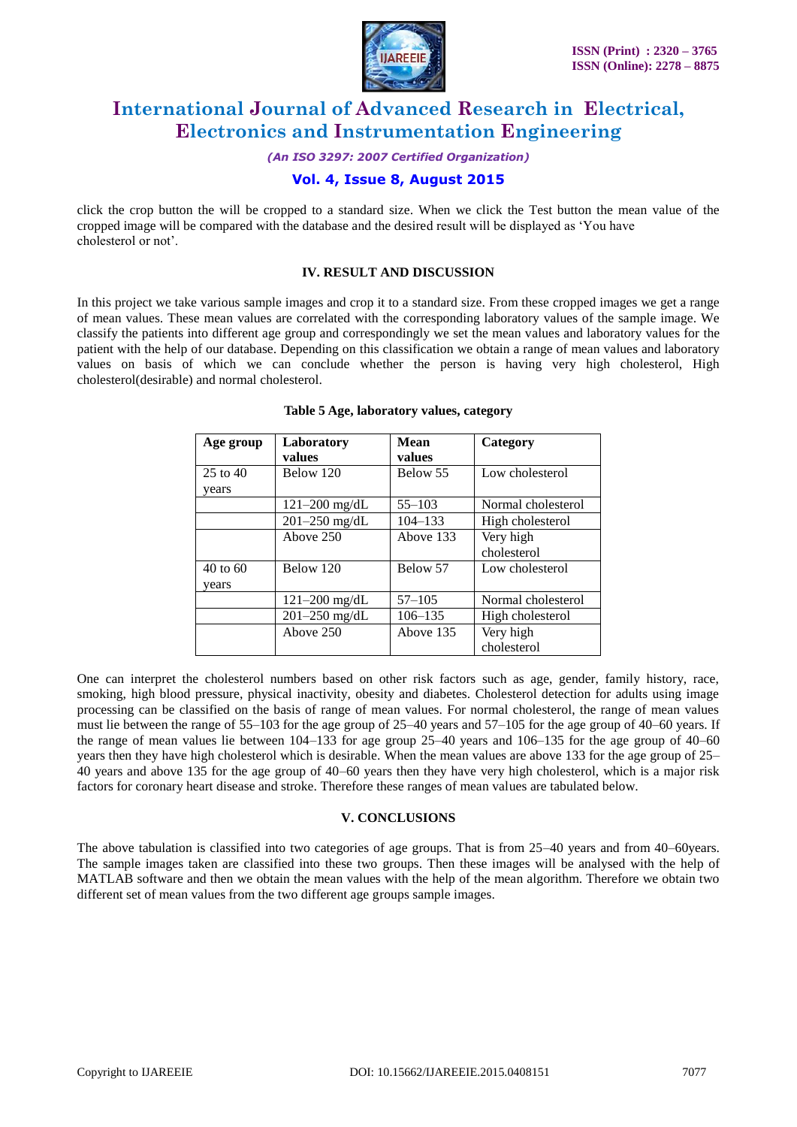

*(An ISO 3297: 2007 Certified Organization)*

## **Vol. 4, Issue 8, August 2015**

click the crop button the will be cropped to a standard size. When we click the Test button the mean value of the cropped image will be compared with the database and the desired result will be displayed as 'You have cholesterol or not'.

## **IV. RESULT AND DISCUSSION**

In this project we take various sample images and crop it to a standard size. From these cropped images we get a range of mean values. These mean values are correlated with the corresponding laboratory values of the sample image. We classify the patients into different age group and correspondingly we set the mean values and laboratory values for the patient with the help of our database. Depending on this classification we obtain a range of mean values and laboratory values on basis of which we can conclude whether the person is having very high cholesterol, High cholesterol(desirable) and normal cholesterol.

| Age group             | Laboratory<br>values | Mean<br>values | Category                 |
|-----------------------|----------------------|----------------|--------------------------|
| $25$ to $40$<br>years | Below 120            | Below 55       | Low cholesterol          |
|                       | $121 - 200$ mg/dL    | $55 - 103$     | Normal cholesterol       |
|                       | $201 - 250$ mg/dL    | $104 - 133$    | High cholesterol         |
|                       | Above 250            | Above 133      | Very high<br>cholesterol |
| 40 to 60<br>years     | Below 120            | Below 57       | Low cholesterol          |
|                       | $121 - 200$ mg/dL    | $57 - 105$     | Normal cholesterol       |
|                       | 201-250 mg/dL        | $106 - 135$    | High cholesterol         |
|                       | Above 250            | Above 135      | Very high<br>cholesterol |

#### **Table 5 Age, laboratory values, category**

One can interpret the cholesterol numbers based on other risk factors such as age, gender, family history, race, smoking, high blood pressure, physical inactivity, obesity and diabetes. Cholesterol detection for adults using image processing can be classified on the basis of range of mean values. For normal cholesterol, the range of mean values must lie between the range of 55–103 for the age group of 25–40 years and 57–105 for the age group of 40–60 years. If the range of mean values lie between 104–133 for age group 25–40 years and 106–135 for the age group of 40–60 years then they have high cholesterol which is desirable. When the mean values are above 133 for the age group of 25– 40 years and above 135 for the age group of 40–60 years then they have very high cholesterol, which is a major risk factors for coronary heart disease and stroke. Therefore these ranges of mean values are tabulated below.

#### **V. CONCLUSIONS**

The above tabulation is classified into two categories of age groups. That is from 25–40 years and from 40–60years. The sample images taken are classified into these two groups. Then these images will be analysed with the help of MATLAB software and then we obtain the mean values with the help of the mean algorithm. Therefore we obtain two different set of mean values from the two different age groups sample images.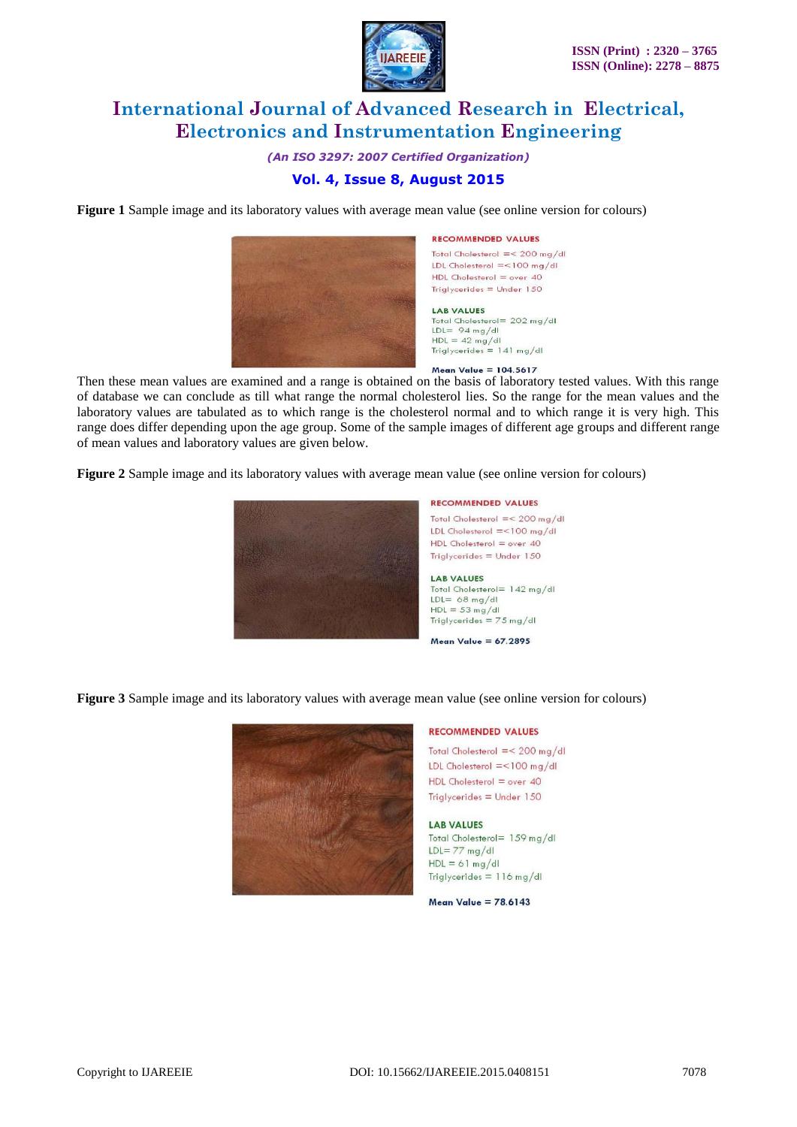

*(An ISO 3297: 2007 Certified Organization)*

## **Vol. 4, Issue 8, August 2015**

**Figure 1** Sample image and its laboratory values with average mean value (see online version for colours)



#### **RECOMMENDED VALUES**

Total Cholesterol  $\equiv$  < 200 mg/dl LDL Cholesterol = <100 mg/dl  $HDL$  Cholesterol = over 40 Triglycerides =  $Under 150$ 

**LAB VALUES** Total Cholesterol= 202 mg/dl  $LDL = 94 mg/dl$ 

 $HDL = 42 mg/dl$ <br>Triglycerides = 141 mg/dl

Mean Value =  $104.5617$ 

Then these mean values are examined and a range is obtained on the basis of laboratory tested values. With this range of database we can conclude as till what range the normal cholesterol lies. So the range for the mean values and the laboratory values are tabulated as to which range is the cholesterol normal and to which range it is very high. This range does differ depending upon the age group. Some of the sample images of different age groups and different range of mean values and laboratory values are given below.

**Figure 2** Sample image and its laboratory values with average mean value (see online version for colours)



Total Cholesterol =<  $200 \text{ mg/dl}$ LDL Cholesterol = <100 mg/dl  $HDL$  Cholesterol = over 40 Triglycerides  $=$  Under 150

Total Cholesterol= 142 mg/dl  $HDL = 53 mg/dl$ Triglycerides =  $75 \text{ mg/dI}$ 

Mean Value =  $67.2895$ 

**Figure 3** Sample image and its laboratory values with average mean value (see online version for colours)



#### **RECOMMENDED VALUES**

Total Cholesterol =  $<$  200 mg/dl LDL Cholesterol = <100 mg/dl  $HDL$  Cholesterol = over 40 Triglycerides =  $Under 150$ 

#### **LAR VALUES**

Total Cholesterol= 159 mg/dl  $LDL = 77$  mg/dl  $HDL = 61 mg/dl$ Triglycerides  $= 116$  mg/dl

Mean Value =  $78.6143$